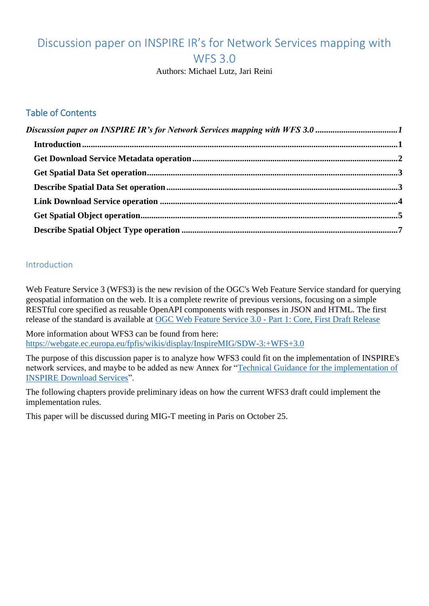# <span id="page-0-0"></span>Discussion paper on INSPIRE IR's for Network Services mapping with WFS 3.0

Authors: Michael Lutz, Jari Reini

#### Table of Contents

#### <span id="page-0-1"></span>**Introduction**

Web Feature Service 3 (WFS3) is the new revision of the OGC's Web Feature Service standard for querying geospatial information on the web. It is a complete rewrite of previous versions, focusing on a simple RESTful core specified as reusable OpenAPI components with responses in JSON and HTML. The first release of the standard is available at [OGC Web Feature Service 3.0 -](https://cdn.rawgit.com/opengeospatial/WFS_FES/3.0.0-draft.1/docs/17-069.html) Part 1: Core, First Draft Release

More information about WFS3 can be found from here: <https://webgate.ec.europa.eu/fpfis/wikis/display/InspireMIG/SDW-3:+WFS+3.0>

The purpose of this discussion paper is to analyze how WFS3 could fit on the implementation of INSPIRE's network services, and maybe to be added as new Annex for ["Technical Guidance for the implementation of](http://inspire.ec.europa.eu/documents/Network_Services/Technical_Guidance_Download_Services_v3.1.pdf)  [INSPIRE Download Services"](http://inspire.ec.europa.eu/documents/Network_Services/Technical_Guidance_Download_Services_v3.1.pdf).

The following chapters provide preliminary ideas on how the current WFS3 draft could implement the implementation rules.

This paper will be discussed during MIG-T meeting in Paris on October 25.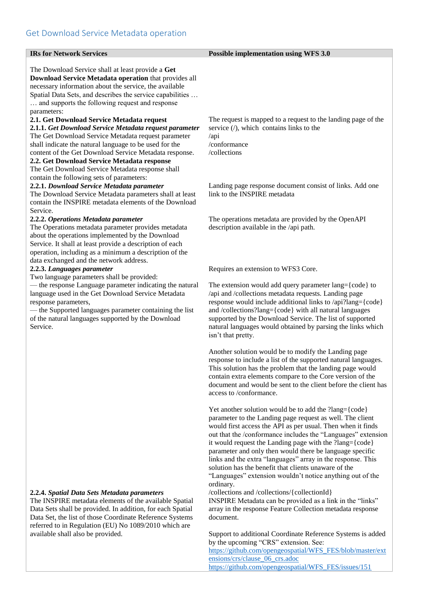<span id="page-1-0"></span>

| <b>IRs for Network Services</b>                                                                                                                                                                                                                                                                                                                                                                   | <b>Possible implementation using WFS 3.0</b>                                                                                                                                                                                                                                                                                                                                                                                                                                                                                                                                                                                                                                           |
|---------------------------------------------------------------------------------------------------------------------------------------------------------------------------------------------------------------------------------------------------------------------------------------------------------------------------------------------------------------------------------------------------|----------------------------------------------------------------------------------------------------------------------------------------------------------------------------------------------------------------------------------------------------------------------------------------------------------------------------------------------------------------------------------------------------------------------------------------------------------------------------------------------------------------------------------------------------------------------------------------------------------------------------------------------------------------------------------------|
| The Download Service shall at least provide a Get<br>Download Service Metadata operation that provides all<br>necessary information about the service, the available<br>Spatial Data Sets, and describes the service capabilities<br>and supports the following request and response                                                                                                              |                                                                                                                                                                                                                                                                                                                                                                                                                                                                                                                                                                                                                                                                                        |
| parameters:<br>2.1. Get Download Service Metadata request<br>2.1.1. Get Download Service Metadata request parameter<br>The Get Download Service Metadata request parameter<br>shall indicate the natural language to be used for the<br>content of the Get Download Service Metadata response.<br>2.2. Get Download Service Metadata response<br>The Get Download Service Metadata response shall | The request is mapped to a request to the landing page of the<br>service $($ <sup><math>)</math></sup> , which contains links to the<br>$\alpha$ pi<br>/conformance<br>/collections                                                                                                                                                                                                                                                                                                                                                                                                                                                                                                    |
| contain the following sets of parameters:<br>2.2.1. Download Service Metadata parameter<br>The Download Service Metadata parameters shall at least<br>contain the INSPIRE metadata elements of the Download                                                                                                                                                                                       | Landing page response document consist of links. Add one<br>link to the INSPIRE metadata                                                                                                                                                                                                                                                                                                                                                                                                                                                                                                                                                                                               |
| Service.<br>2.2.2. Operations Metadata parameter<br>The Operations metadata parameter provides metadata<br>about the operations implemented by the Download<br>Service. It shall at least provide a description of each<br>operation, including as a minimum a description of the                                                                                                                 | The operations metadata are provided by the OpenAPI<br>description available in the /api path.                                                                                                                                                                                                                                                                                                                                                                                                                                                                                                                                                                                         |
| data exchanged and the network address.<br>2.2.3. Languages parameter                                                                                                                                                                                                                                                                                                                             | Requires an extension to WFS3 Core.                                                                                                                                                                                                                                                                                                                                                                                                                                                                                                                                                                                                                                                    |
| Two language parameters shall be provided:<br>- the response Language parameter indicating the natural<br>language used in the Get Download Service Metadata<br>response parameters,<br>— the Supported languages parameter containing the list<br>of the natural languages supported by the Download<br>Service.                                                                                 | The extension would add query parameter lang={code} to<br>/api and /collections metadata requests. Landing page<br>response would include additional links to /api?lang={code}<br>and /collections?lang={code} with all natural languages<br>supported by the Download Service. The list of supported<br>natural languages would obtained by parsing the links which<br>isn't that pretty.                                                                                                                                                                                                                                                                                             |
|                                                                                                                                                                                                                                                                                                                                                                                                   | Another solution would be to modify the Landing page<br>response to include a list of the supported natural languages.<br>This solution has the problem that the landing page would<br>contain extra elements compare to the Core version of the<br>document and would be sent to the client before the client has<br>access to /conformance.                                                                                                                                                                                                                                                                                                                                          |
| 2.2.4. Spatial Data Sets Metadata parameters<br>The INSPIRE metadata elements of the available Spatial                                                                                                                                                                                                                                                                                            | Yet another solution would be to add the ?lang={code}<br>parameter to the Landing page request as well. The client<br>would first access the API as per usual. Then when it finds<br>out that the /conformance includes the "Languages" extension<br>it would request the Landing page with the ?lang={code}<br>parameter and only then would there be language specific<br>links and the extra "languages" array in the response. This<br>solution has the benefit that clients unaware of the<br>"Languages" extension wouldn't notice anything out of the<br>ordinary.<br>/collections and /collections/{collectionId}<br>INSPIRE Metadata can be provided as a link in the "links" |
| Data Sets shall be provided. In addition, for each Spatial<br>Data Set, the list of those Coordinate Reference Systems<br>referred to in Regulation (EU) No 1089/2010 which are<br>available shall also be provided.                                                                                                                                                                              | array in the response Feature Collection metadata response<br>document.<br>Support to additional Coordinate Reference Systems is added                                                                                                                                                                                                                                                                                                                                                                                                                                                                                                                                                 |
|                                                                                                                                                                                                                                                                                                                                                                                                   | by the upcoming "CRS" extension. See:<br>https://github.com/opengeospatial/WFS_FES/blob/master/ext                                                                                                                                                                                                                                                                                                                                                                                                                                                                                                                                                                                     |

ensions/crs/clause 06 crs.adoc

[https://github.com/opengeospatial/WFS\\_FES/issues/151](https://github.com/opengeospatial/WFS_FES/issues/151)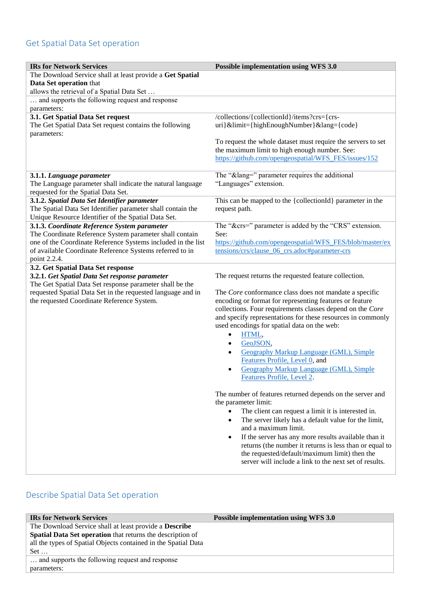### <span id="page-2-0"></span>Get Spatial Data Set operation

| <b>IRs for Network Services</b>                                                                                    | <b>Possible implementation using WFS 3.0</b>                                                                  |
|--------------------------------------------------------------------------------------------------------------------|---------------------------------------------------------------------------------------------------------------|
| The Download Service shall at least provide a Get Spatial                                                          |                                                                                                               |
| Data Set operation that                                                                                            |                                                                                                               |
| allows the retrieval of a Spatial Data Set                                                                         |                                                                                                               |
| and supports the following request and response<br>$\dddotsc$<br>parameters:                                       |                                                                                                               |
| 3.1. Get Spatial Data Set request                                                                                  | /collections/{collectionId}/items?crs={crs-                                                                   |
| The Get Spatial Data Set request contains the following                                                            | uri}&limit={highEnoughNumber}⟨={code}                                                                         |
| parameters:                                                                                                        |                                                                                                               |
|                                                                                                                    | To request the whole dataset must require the servers to set<br>the maximum limit to high enough number. See: |
|                                                                                                                    | https://github.com/opengeospatial/WFS_FES/issues/152                                                          |
|                                                                                                                    |                                                                                                               |
| 3.1.1. Language parameter                                                                                          | The "⟨=" parameter requires the additional                                                                    |
| The Language parameter shall indicate the natural language                                                         | "Languages" extension.                                                                                        |
| requested for the Spatial Data Set.                                                                                |                                                                                                               |
| 3.1.2. Spatial Data Set Identifier parameter                                                                       | This can be mapped to the {collectionId} parameter in the                                                     |
| The Spatial Data Set Identifier parameter shall contain the<br>Unique Resource Identifier of the Spatial Data Set. | request path.                                                                                                 |
| 3.1.3. Coordinate Reference System parameter                                                                       | The "&crs=" parameter is added by the "CRS" extension.                                                        |
| The Coordinate Reference System parameter shall contain                                                            | See:                                                                                                          |
| one of the Coordinate Reference Systems included in the list                                                       | https://github.com/opengeospatial/WFS FES/blob/master/ex                                                      |
| of available Coordinate Reference Systems referred to in                                                           | tensions/crs/clause 06 crs.adoc#parameter-crs                                                                 |
| point 2.2.4.                                                                                                       |                                                                                                               |
| 3.2. Get Spatial Data Set response<br>3.2.1. Get Spatial Data Set response parameter                               | The request returns the requested feature collection.                                                         |
| The Get Spatial Data Set response parameter shall be the                                                           |                                                                                                               |
| requested Spatial Data Set in the requested language and in                                                        | The Core conformance class does not mandate a specific                                                        |
| the requested Coordinate Reference System.                                                                         | encoding or format for representing features or feature                                                       |
|                                                                                                                    | collections. Four requirements classes depend on the Core                                                     |
|                                                                                                                    | and specify representations for these resources in commonly                                                   |
|                                                                                                                    | used encodings for spatial data on the web:<br>HTML,<br>$\bullet$                                             |
|                                                                                                                    | GeoJSON,<br>$\bullet$                                                                                         |
|                                                                                                                    | <b>Geography Markup Language (GML), Simple</b><br>$\bullet$                                                   |
|                                                                                                                    | Features Profile, Level 0, and                                                                                |
|                                                                                                                    | Geography Markup Language (GML), Simple                                                                       |
|                                                                                                                    | Features Profile, Level 2.                                                                                    |
|                                                                                                                    |                                                                                                               |
|                                                                                                                    | The number of features returned depends on the server and<br>the parameter limit:                             |
|                                                                                                                    | The client can request a limit it is interested in.                                                           |
|                                                                                                                    | The server likely has a default value for the limit,<br>$\bullet$                                             |
|                                                                                                                    | and a maximum limit.                                                                                          |
|                                                                                                                    | If the server has any more results available than it<br>$\bullet$                                             |
|                                                                                                                    | returns (the number it returns is less than or equal to                                                       |
|                                                                                                                    | the requested/default/maximum limit) then the<br>server will include a link to the next set of results.       |
|                                                                                                                    |                                                                                                               |

## <span id="page-2-1"></span>Describe Spatial Data Set operation

| <b>IRs for Network Services</b>                                | <b>Possible implementation using WFS 3.0</b> |
|----------------------------------------------------------------|----------------------------------------------|
| The Download Service shall at least provide a <b>Describe</b>  |                                              |
| Spatial Data Set operation that returns the description of     |                                              |
| all the types of Spatial Objects contained in the Spatial Data |                                              |
| $Set \dots$                                                    |                                              |
| and supports the following request and response                |                                              |
| parameters:                                                    |                                              |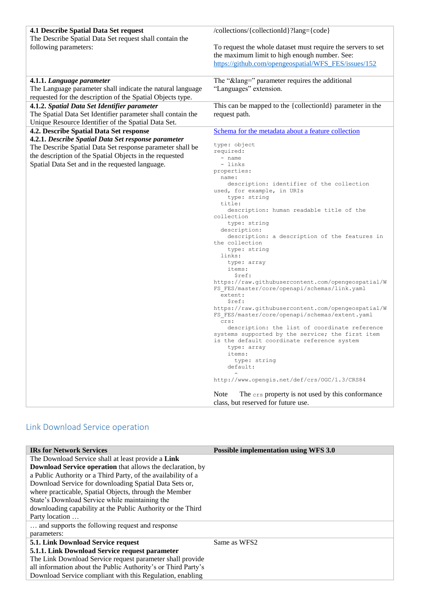| <b>4.1 Describe Spatial Data Set request</b><br>The Describe Spatial Data Set request shall contain the | /collections/{collectionId}?lang={code}                                                                       |
|---------------------------------------------------------------------------------------------------------|---------------------------------------------------------------------------------------------------------------|
| following parameters:                                                                                   | To request the whole dataset must require the servers to set<br>the maximum limit to high enough number. See: |
|                                                                                                         | https://github.com/opengeospatial/WFS FES/issues/152                                                          |
| 4.1.1. Language parameter                                                                               | The "⟨=" parameter requires the additional                                                                    |
| The Language parameter shall indicate the natural language                                              | "Languages" extension.                                                                                        |
| requested for the description of the Spatial Objects type.                                              |                                                                                                               |
| 4.1.2. Spatial Data Set Identifier parameter                                                            | This can be mapped to the {collectionId} parameter in the                                                     |
| The Spatial Data Set Identifier parameter shall contain the                                             | request path.                                                                                                 |
| Unique Resource Identifier of the Spatial Data Set.<br>4.2. Describe Spatial Data Set response          | Schema for the metadata about a feature collection                                                            |
| 4.2.1. Describe Spatial Data Set response parameter                                                     |                                                                                                               |
| The Describe Spatial Data Set response parameter shall be                                               | type: object                                                                                                  |
| the description of the Spatial Objects in the requested                                                 | required:                                                                                                     |
| Spatial Data Set and in the requested language.                                                         | - name<br>- links                                                                                             |
|                                                                                                         | properties:                                                                                                   |
|                                                                                                         | name:                                                                                                         |
|                                                                                                         | description: identifier of the collection                                                                     |
|                                                                                                         | used, for example, in URIs<br>type: string                                                                    |
|                                                                                                         | title:                                                                                                        |
|                                                                                                         | description: human readable title of the                                                                      |
|                                                                                                         | collection<br>type: string                                                                                    |
|                                                                                                         | description:                                                                                                  |
|                                                                                                         | description: a description of the features in                                                                 |
|                                                                                                         | the collection                                                                                                |
|                                                                                                         | type: string<br>links:                                                                                        |
|                                                                                                         | type: array                                                                                                   |
|                                                                                                         | items:                                                                                                        |
|                                                                                                         | \$ref:                                                                                                        |
|                                                                                                         | https://raw.githubusercontent.com/opengeospatial/W<br>FS_FES/master/core/openapi/schemas/link.yaml            |
|                                                                                                         | extent:                                                                                                       |
|                                                                                                         | \$ref:                                                                                                        |
|                                                                                                         | https://raw.githubusercontent.com/opengeospatial/W<br>FS FES/master/core/openapi/schemas/extent.yaml          |
|                                                                                                         | crs:                                                                                                          |
|                                                                                                         | description: the list of coordinate reference<br>systems supported by the service; the first item             |
|                                                                                                         | is the default coordinate reference system                                                                    |
|                                                                                                         | type: array                                                                                                   |
|                                                                                                         | items:                                                                                                        |
|                                                                                                         | type: string<br>default:                                                                                      |
|                                                                                                         |                                                                                                               |
|                                                                                                         | http://www.opengis.net/def/crs/0GC/1.3/CRS84                                                                  |
|                                                                                                         | Note<br>The crs property is not used by this conformance                                                      |
|                                                                                                         | class, but reserved for future use.                                                                           |

## <span id="page-3-0"></span>Link Download Service operation

| <b>IRs for Network Services</b>                                   | <b>Possible implementation using WFS 3.0</b> |
|-------------------------------------------------------------------|----------------------------------------------|
| The Download Service shall at least provide a Link                |                                              |
| <b>Download Service operation</b> that allows the declaration, by |                                              |
| a Public Authority or a Third Party, of the availability of a     |                                              |
| Download Service for downloading Spatial Data Sets or,            |                                              |
| where practicable, Spatial Objects, through the Member            |                                              |
| State's Download Service while maintaining the                    |                                              |
| downloading capability at the Public Authority or the Third       |                                              |
| Party location                                                    |                                              |
| and supports the following request and response                   |                                              |
| parameters:                                                       |                                              |
| 5.1. Link Download Service request                                | Same as WFS2                                 |
| 5.1.1. Link Download Service request parameter                    |                                              |
| The Link Download Service request parameter shall provide         |                                              |
| all information about the Public Authority's or Third Party's     |                                              |
| Download Service compliant with this Regulation, enabling         |                                              |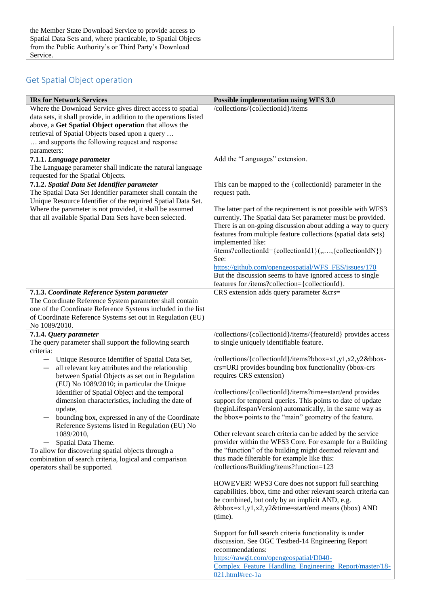### <span id="page-4-0"></span>Get Spatial Object operation

| <b>IRs for Network Services</b>                                                                                                                                                                                                                                                                                                                                                                                                                                                                                                                                                                                                                                                                                                                               | <b>Possible implementation using WFS 3.0</b>                                                                                                                                                                                                                                                                                                                                                                                                                                                                                                                                                                                                                                                                                                                                                                                                                                                                            |
|---------------------------------------------------------------------------------------------------------------------------------------------------------------------------------------------------------------------------------------------------------------------------------------------------------------------------------------------------------------------------------------------------------------------------------------------------------------------------------------------------------------------------------------------------------------------------------------------------------------------------------------------------------------------------------------------------------------------------------------------------------------|-------------------------------------------------------------------------------------------------------------------------------------------------------------------------------------------------------------------------------------------------------------------------------------------------------------------------------------------------------------------------------------------------------------------------------------------------------------------------------------------------------------------------------------------------------------------------------------------------------------------------------------------------------------------------------------------------------------------------------------------------------------------------------------------------------------------------------------------------------------------------------------------------------------------------|
| Where the Download Service gives direct access to spatial<br>data sets, it shall provide, in addition to the operations listed<br>above, a Get Spatial Object operation that allows the<br>retrieval of Spatial Objects based upon a query                                                                                                                                                                                                                                                                                                                                                                                                                                                                                                                    | /collections/{collectionId}/items                                                                                                                                                                                                                                                                                                                                                                                                                                                                                                                                                                                                                                                                                                                                                                                                                                                                                       |
| and supports the following request and response<br>parameters:                                                                                                                                                                                                                                                                                                                                                                                                                                                                                                                                                                                                                                                                                                |                                                                                                                                                                                                                                                                                                                                                                                                                                                                                                                                                                                                                                                                                                                                                                                                                                                                                                                         |
| 7.1.1. Language parameter<br>The Language parameter shall indicate the natural language<br>requested for the Spatial Objects.                                                                                                                                                                                                                                                                                                                                                                                                                                                                                                                                                                                                                                 | Add the "Languages" extension.                                                                                                                                                                                                                                                                                                                                                                                                                                                                                                                                                                                                                                                                                                                                                                                                                                                                                          |
| 7.1.2. Spatial Data Set Identifier parameter<br>The Spatial Data Set Identifier parameter shall contain the<br>Unique Resource Identifier of the required Spatial Data Set.                                                                                                                                                                                                                                                                                                                                                                                                                                                                                                                                                                                   | This can be mapped to the {collectionId} parameter in the<br>request path.                                                                                                                                                                                                                                                                                                                                                                                                                                                                                                                                                                                                                                                                                                                                                                                                                                              |
| Where the parameter is not provided, it shall be assumed<br>that all available Spatial Data Sets have been selected.                                                                                                                                                                                                                                                                                                                                                                                                                                                                                                                                                                                                                                          | The latter part of the requirement is not possible with WFS3<br>currently. The Spatial data Set parameter must be provided.<br>There is an on-going discussion about adding a way to query<br>features from multiple feature collections (spatial data sets)<br>implemented like:<br>/items?collectionId={collectionId1}(,,,{collectionIdN})<br>See:<br>https://github.com/opengeospatial/WFS FES/issues/170<br>But the discussion seems to have ignored access to single<br>features for /items?collection={collectionId}.                                                                                                                                                                                                                                                                                                                                                                                             |
| 7.1.3. Coordinate Reference System parameter<br>The Coordinate Reference System parameter shall contain<br>one of the Coordinate Reference Systems included in the list<br>of Coordinate Reference Systems set out in Regulation (EU)<br>No 1089/2010.                                                                                                                                                                                                                                                                                                                                                                                                                                                                                                        | CRS extension adds query parameter &crs=                                                                                                                                                                                                                                                                                                                                                                                                                                                                                                                                                                                                                                                                                                                                                                                                                                                                                |
| 7.1.4. Query parameter<br>The query parameter shall support the following search<br>criteria:<br>Unique Resource Identifier of Spatial Data Set,<br>$\qquad \qquad -$<br>all relevant key attributes and the relationship<br>$\qquad \qquad -$<br>between Spatial Objects as set out in Regulation<br>(EU) No 1089/2010; in particular the Unique<br>Identifier of Spatial Object and the temporal<br>dimension characteristics, including the date of<br>update,<br>bounding box, expressed in any of the Coordinate<br>Reference Systems listed in Regulation (EU) No<br>1089/2010,<br>Spatial Data Theme.<br>To allow for discovering spatial objects through a<br>combination of search criteria, logical and comparison<br>operators shall be supported. | /collections/{collectionId}/items/{featureId} provides access<br>to single uniquely identifiable feature.<br>/collections/{collectionId}/items?bbox=x1,y1,x2,y2&bbox-<br>crs=URI provides bounding box functionality (bbox-crs<br>requires CRS extension)<br>/collections/{collectionId}/items?time=start/end provides<br>support for temporal queries. This points to date of update<br>(beginLifespanVersion) automatically, in the same way as<br>the bbox= points to the "main" geometry of the feature.<br>Other relevant search criteria can be added by the service<br>provider within the WFS3 Core. For example for a Building<br>the "function" of the building might deemed relevant and<br>thus made filterable for example like this:<br>/collections/Building/items?function=123<br>HOWEVER! WFS3 Core does not support full searching<br>capabilities. bbox, time and other relevant search criteria can |
|                                                                                                                                                                                                                                                                                                                                                                                                                                                                                                                                                                                                                                                                                                                                                               | be combined, but only by an implicit AND, e.g.<br>&bbox=x1,y1,x2,y2&time=start/end means (bbox) AND<br>(time).<br>Support for full search criteria functionality is under<br>discussion. See OGC Testbed-14 Engineering Report<br>recommendations:<br>https://rawgit.com/opengeospatial/D040-<br>Complex Feature Handling Engineering Report/master/18-<br>021.html#rec-1a                                                                                                                                                                                                                                                                                                                                                                                                                                                                                                                                              |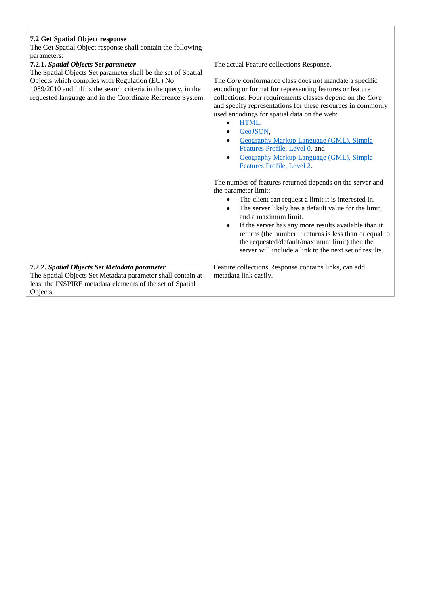| 7.2 Get Spatial Object response<br>The Get Spatial Object response shall contain the following<br>parameters:                                                                                                                                                                           |                                                                                                                                                                                                                                                                                                                                                                                                                                                                                                                                   |  |
|-----------------------------------------------------------------------------------------------------------------------------------------------------------------------------------------------------------------------------------------------------------------------------------------|-----------------------------------------------------------------------------------------------------------------------------------------------------------------------------------------------------------------------------------------------------------------------------------------------------------------------------------------------------------------------------------------------------------------------------------------------------------------------------------------------------------------------------------|--|
| 7.2.1. Spatial Objects Set parameter<br>The Spatial Objects Set parameter shall be the set of Spatial<br>Objects which complies with Regulation (EU) No<br>1089/2010 and fulfils the search criteria in the query, in the<br>requested language and in the Coordinate Reference System. | The actual Feature collections Response.<br>The Core conformance class does not mandate a specific<br>encoding or format for representing features or feature<br>collections. Four requirements classes depend on the Core<br>and specify representations for these resources in commonly<br>used encodings for spatial data on the web:<br>HTML,<br>GeoJSON,<br><b>Geography Markup Language (GML), Simple</b><br>Features Profile, Level 0, and<br><b>Geography Markup Language (GML), Simple</b><br>Features Profile, Level 2. |  |
|                                                                                                                                                                                                                                                                                         | The number of features returned depends on the server and<br>the parameter limit:<br>The client can request a limit it is interested in.<br>The server likely has a default value for the limit,<br>$\bullet$<br>and a maximum limit.<br>If the server has any more results available than it<br>returns (the number it returns is less than or equal to<br>the requested/default/maximum limit) then the<br>server will include a link to the next set of results.                                                               |  |
| 7.2.2. Spatial Objects Set Metadata parameter<br>The Spatial Objects Set Metadata parameter shall contain at<br>least the INSPIRE metadata elements of the set of Spatial<br>Objects.                                                                                                   | Feature collections Response contains links, can add<br>metadata link easily.                                                                                                                                                                                                                                                                                                                                                                                                                                                     |  |